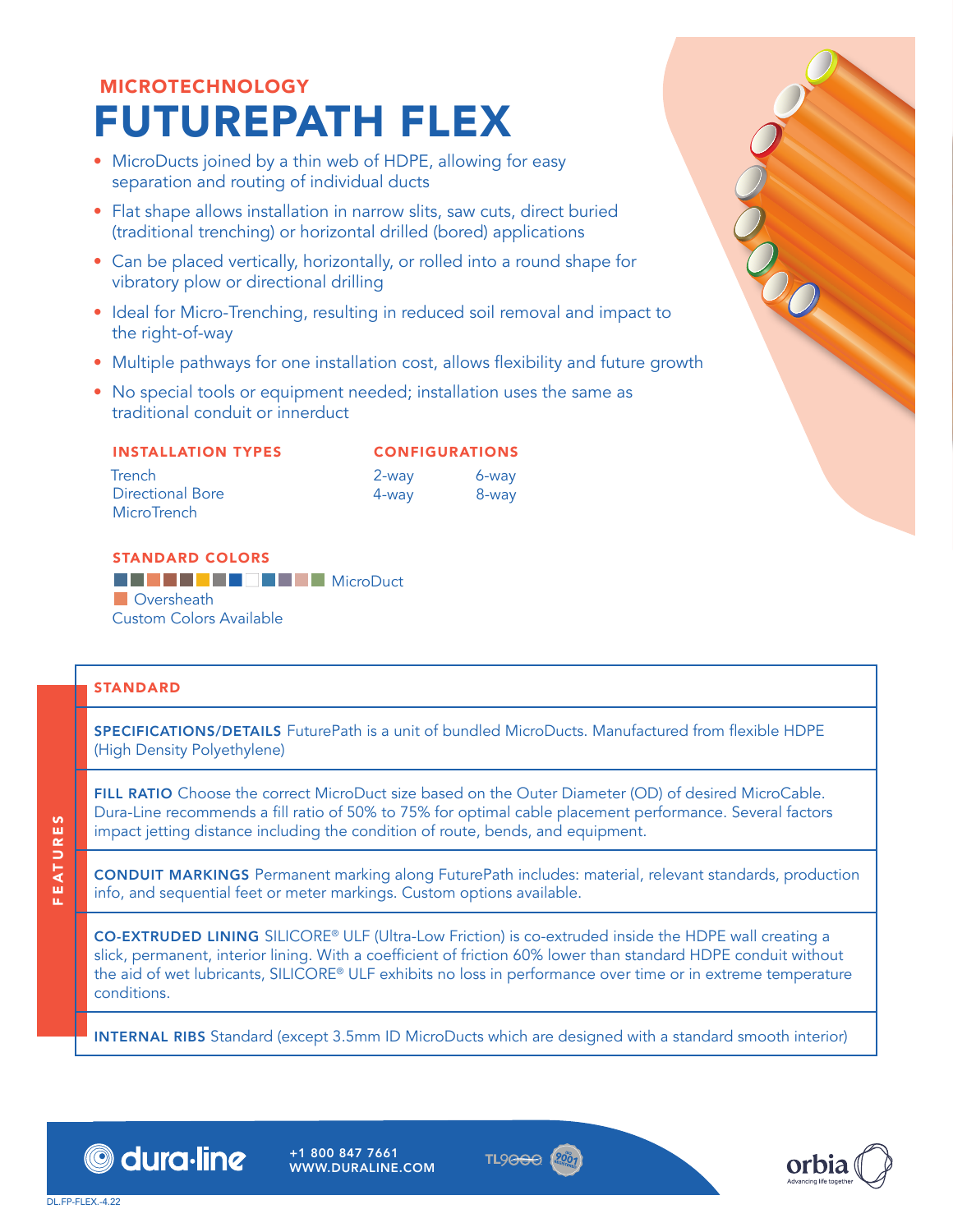# MICROTECHNOLOGY FUTUREPATH FLEX

- MicroDucts joined by a thin web of HDPE, allowing for easy separation and routing of individual ducts
- Flat shape allows installation in narrow slits, saw cuts, direct buried (traditional trenching) or horizontal drilled (bored) applications
- Can be placed vertically, horizontally, or rolled into a round shape for vibratory plow or directional drilling
- Ideal for Micro-Trenching, resulting in reduced soil removal and impact to the right-of-way
- Multiple pathways for one installation cost, allows flexibility and future growth
- No special tools or equipment needed; installation uses the same as traditional conduit or innerduct

| <b>INSTALLATION TYPES</b> |
|---------------------------|
|---------------------------|

**Trench** Directional Bore

2-way 4-way 6-way 8-way

CONFIGURATIONS

#### STANDARD COLORS **BCDSCXFAWWYZBANK**INGroDuct **D** Oversheath Custom Colors Available

#### STANDARD

**MicroTrench** 

SPECIFICATIONS/DETAILS FuturePath is a unit of bundled MicroDucts. Manufactured from flexible HDPE (High Density Polyethylene)

FILL RATIO Choose the correct MicroDuct size based on the Outer Diameter (OD) of desired MicroCable. Dura-Line recommends a fill ratio of 50% to 75% for optimal cable placement performance. Several factors impact jetting distance including the condition of route, bends, and equipment.

CONDUIT MARKINGS Permanent marking along FuturePath includes: material, relevant standards, production info, and sequential feet or meter markings. Custom options available.

CO-EXTRUDED LINING SILICORE® ULF (Ultra-Low Friction) is co-extruded inside the HDPE wall creating a slick, permanent, interior lining. With a coefficient of friction 60% lower than standard HDPE conduit without the aid of wet lubricants, SILICORE® ULF exhibits no loss in performance over time or in extreme temperature conditions.

INTERNAL RIBS Standard (except 3.5mm ID MicroDucts which are designed with a standard smooth interior)



+1 800 847 7661 WWW.DURALINE.COM





OCO.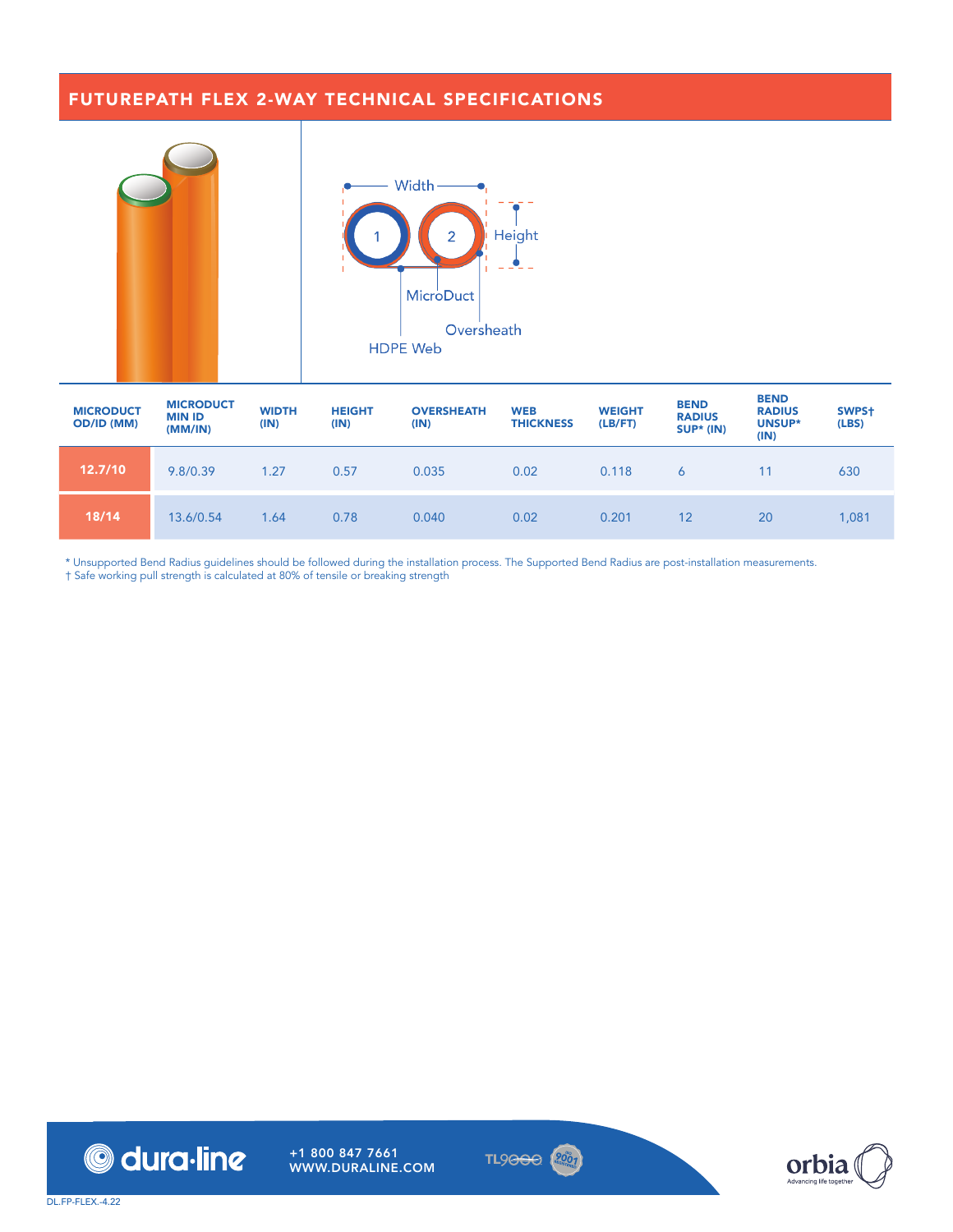#### FUTUREPATH FLEX 2-WAY TECHNICAL SPECIFICATIONS



| <b>MICRODUCT</b><br>OD/ID (MM) | <b>MICRODUCT</b><br><b>MIN ID</b><br>(MM/IN) | <b>WIDTH</b><br>(IN) | <b>HEIGHT</b><br>(IN) | <b>OVERSHEATH</b><br>(IN) | <b>WEB</b><br><b>THICKNESS</b> | <b>WEIGHT</b><br>(LB/FT) | <b>BEND</b><br><b>RADIUS</b><br>SUP* (IN) | <b>BEND</b><br><b>RADIUS</b><br>UNSUP*<br>(IN) | SWPS+<br>(LES) |
|--------------------------------|----------------------------------------------|----------------------|-----------------------|---------------------------|--------------------------------|--------------------------|-------------------------------------------|------------------------------------------------|----------------|
| 12.7/10                        | 9.8/0.39                                     | 1.27                 | 0.57                  | 0.035                     | 0.02                           | 0.118                    | 6                                         | 11                                             | 630            |
| 18/14                          | 13.6/0.54                                    | 1.64                 | 0.78                  | 0.040                     | 0.02                           | 0.201                    | 12                                        | 20                                             | 1,081          |

\* Unsupported Bend Radius guidelines should be followed during the installation process. The Supported Bend Radius are post-installation measurements. † Safe working pull strength is calculated at 80% of tensile or breaking strength





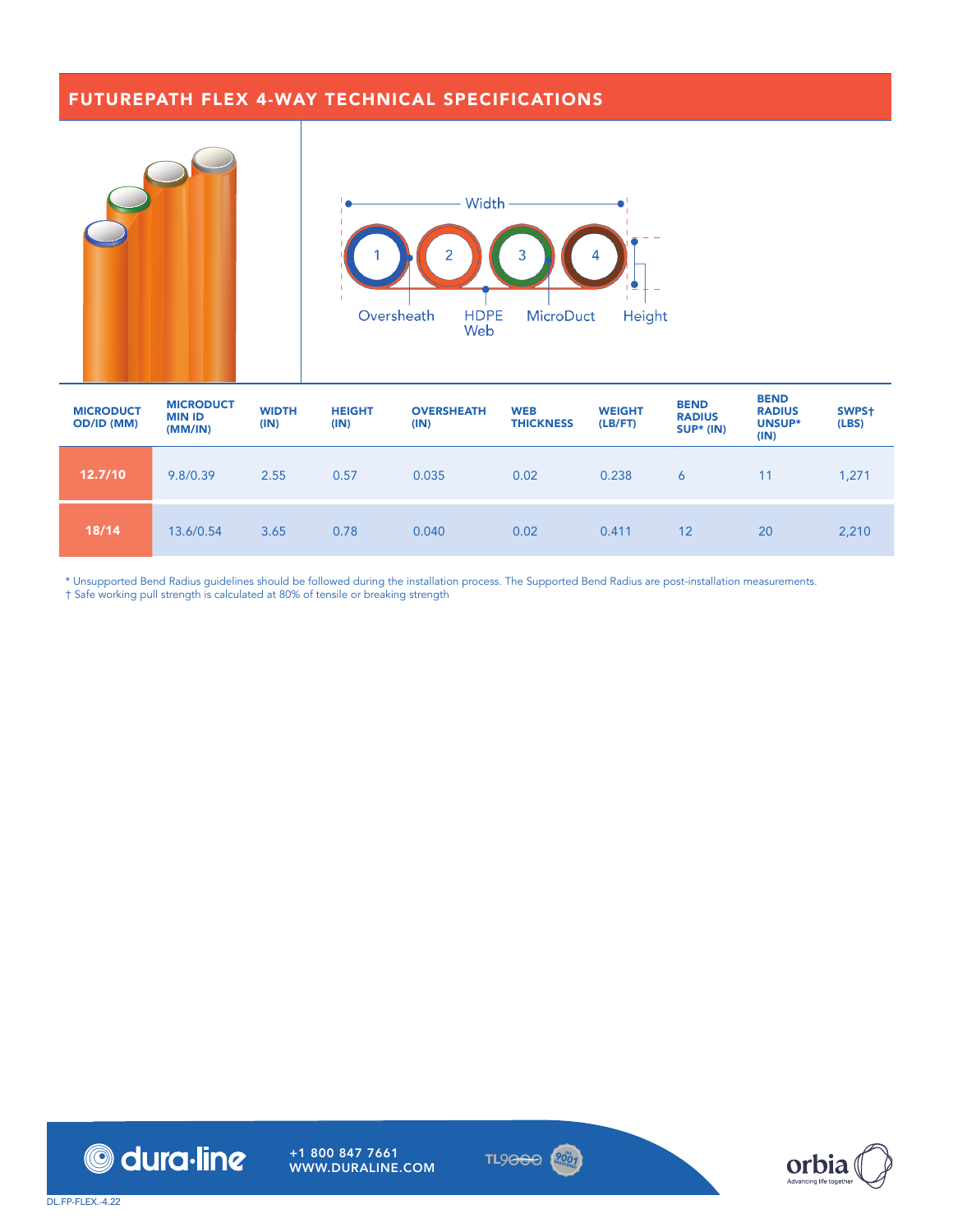## FUTUREPATH FLEX 4-WAY TECHNICAL SPECIFICATIONS



| <b>MICRODUCT</b><br><b>OD/ID (MM)</b> | <b>MICRODUCT</b><br><b>MIN ID</b><br>(MM/IN) | <b>WIDTH</b><br>(IN) | <b>HEIGHT</b><br>(IN) | <b>OVERSHEATH</b><br>(IN) | <b>WEB</b><br><b>THICKNESS</b> | <b>WEIGHT</b><br>(LB/FT) | <b>BEND</b><br><b>RADIUS</b><br><b>SUP* (IN)</b> | <b>BEND</b><br><b>RADIUS</b><br>UNSUP*<br>(IN) | SWPS+<br>(LES) |
|---------------------------------------|----------------------------------------------|----------------------|-----------------------|---------------------------|--------------------------------|--------------------------|--------------------------------------------------|------------------------------------------------|----------------|
| 12.7/10                               | 9.8/0.39                                     | 2.55                 | 0.57                  | 0.035                     | 0.02                           | 0.238                    | 6                                                | 11                                             | 1,271          |
| 18/14                                 | 13.6/0.54                                    | 3.65                 | 0.78                  | 0.040                     | 0.02                           | 0.411                    | 12                                               | 20                                             | 2,210          |

\* Unsupported Bend Radius guidelines should be followed during the installation process. The Supported Bend Radius are post-installation measurements.

† Safe working pull strength is calculated at 80% of tensile or breaking strength





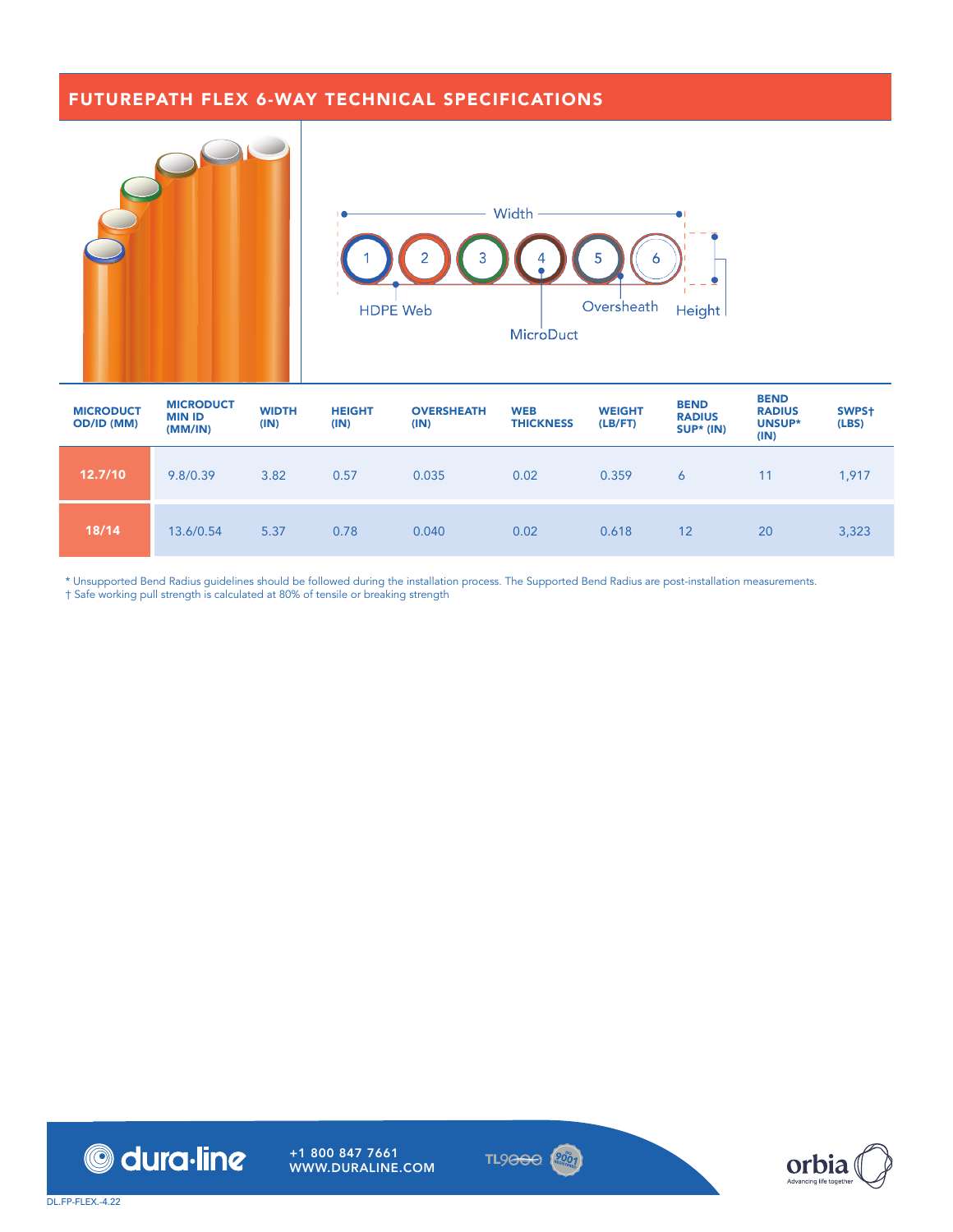### FUTUREPATH FLEX 6-WAY TECHNICAL SPECIFICATIONS



| <b>MICRODUCT</b><br><b>OD/ID (MM)</b> | <b>MICRODUCT</b><br><b>MIN ID</b><br>(MM/IN) | <b>WIDTH</b><br>(IN) | <b>HEIGHT</b><br>(IN) | <b>OVERSHEATH</b><br>(IN) | <b>WEB</b><br><b>THICKNESS</b> | <b>WEIGHT</b><br>(LB/FT) | <b>BEND</b><br><b>RADIUS</b><br>$SUP* (IN)$ | <b>DEND</b><br><b>RADIUS</b><br>UNSUP*<br>(IN) | SWPS+<br>(LES) |
|---------------------------------------|----------------------------------------------|----------------------|-----------------------|---------------------------|--------------------------------|--------------------------|---------------------------------------------|------------------------------------------------|----------------|
| 12.7/10                               | 9.8/0.39                                     | 3.82                 | 0.57                  | 0.035                     | 0.02                           | 0.359                    | 6                                           | 11                                             | 1,917          |
| 18/14                                 | 13.6/0.54                                    | 5.37                 | 0.78                  | 0.040                     | 0.02                           | 0.618                    | 12                                          | 20                                             | 3,323          |

\* Unsupported Bend Radius guidelines should be followed during the installation process. The Supported Bend Radius are post-installation measurements.

† Safe working pull strength is calculated at 80% of tensile or breaking strength



+1 800 847 7661 WWW.DURALINE.COM